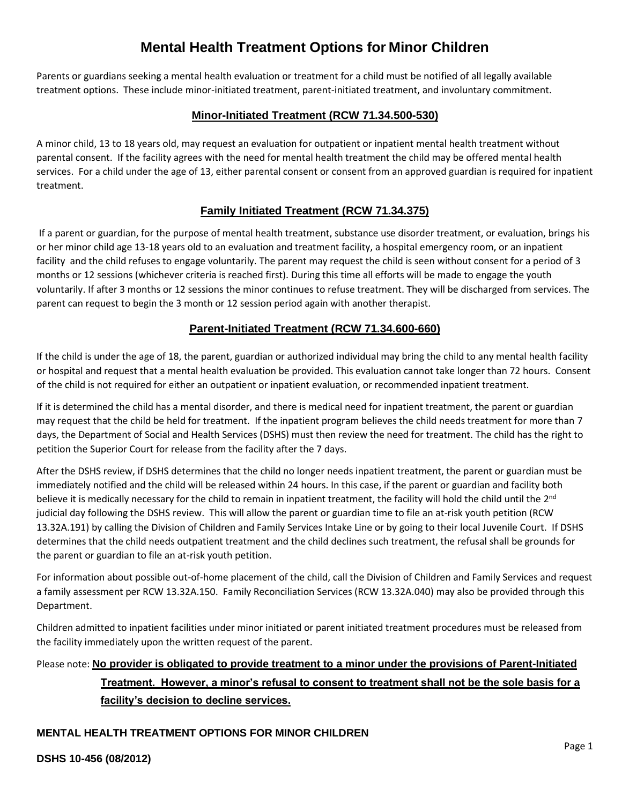# **Mental Health Treatment Options for Minor Children**

Parents or guardians seeking a mental health evaluation or treatment for a child must be notified of all legally available treatment options. These include minor-initiated treatment, parent-initiated treatment, and involuntary commitment.

#### **Minor-Initiated Treatment (RCW 71.34.500-530)**

A minor child, 13 to 18 years old, may request an evaluation for outpatient or inpatient mental health treatment without parental consent. If the facility agrees with the need for mental health treatment the child may be offered mental health services. For a child under the age of 13, either parental consent or consent from an approved guardian is required for inpatient treatment.

### **Family Initiated Treatment [\(RCW 71.34.375\)](https://app.leg.wa.gov/RCW/default.aspx?cite=71.34.375)**

If a parent or guardian, for the purpose of mental health treatment, substance use disorder treatment, or evaluation, brings his or her minor child age 13-18 years old to an evaluation and treatment facility, a hospital emergency room, or an inpatient facility and the child refuses to engage voluntarily. The parent may request the child is seen without consent for a period of 3 months or 12 sessions (whichever criteria is reached first). During this time all efforts will be made to engage the youth voluntarily. If after 3 months or 12 sessions the minor continues to refuse treatment. They will be discharged from services. The parent can request to begin the 3 month or 12 session period again with another therapist.

### **Parent-Initiated Treatment (RCW 71.34.600-660)**

If the child is under the age of 18, the parent, guardian or authorized individual may bring the child to any mental health facility or hospital and request that a mental health evaluation be provided. This evaluation cannot take longer than 72 hours. Consent of the child is not required for either an outpatient or inpatient evaluation, or recommended inpatient treatment.

If it is determined the child has a mental disorder, and there is medical need for inpatient treatment, the parent or guardian may request that the child be held for treatment. If the inpatient program believes the child needs treatment for more than 7 days, the Department of Social and Health Services (DSHS) must then review the need for treatment. The child has the right to petition the Superior Court for release from the facility after the 7 days.

After the DSHS review, if DSHS determines that the child no longer needs inpatient treatment, the parent or guardian must be immediately notified and the child will be released within 24 hours. In this case, if the parent or guardian and facility both believe it is medically necessary for the child to remain in inpatient treatment, the facility will hold the child until the 2<sup>nd</sup> judicial day following the DSHS review. This will allow the parent or guardian time to file an at-risk youth petition (RCW 13.32A.191) by calling the Division of Children and Family Services Intake Line or by going to their local Juvenile Court. If DSHS determines that the child needs outpatient treatment and the child declines such treatment, the refusal shall be grounds for the parent or guardian to file an at-risk youth petition.

For information about possible out-of-home placement of the child, call the Division of Children and Family Services and request a family assessment per RCW 13.32A.150. Family Reconciliation Services (RCW 13.32A.040) may also be provided through this Department.

Children admitted to inpatient facilities under minor initiated or parent initiated treatment procedures must be released from the facility immediately upon the written request of the parent.

## Please note: **No provider is obligated to provide treatment to a minor under the provisions of Parent-Initiated Treatment. However, a minor's refusal to consent to treatment shall not be the sole basis for a facility's decision to decline services.**

### **MENTAL HEALTH TREATMENT OPTIONS FOR MINOR CHILDREN**

**DSHS 10-456 (08/2012)**